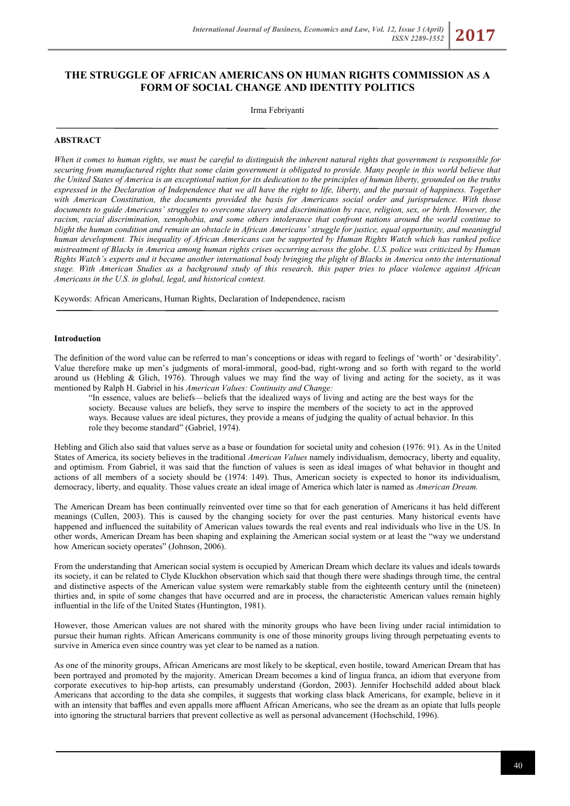# **THE STRUGGLE OF AFRICAN AMERICANS ON HUMAN RIGHTS COMMISSION AS A FORM OF SOCIAL CHANGE AND IDENTITY POLITICS**

Irma Febriyanti

## **ABSTRACT**

*When it comes to human rights, we must be careful to distinguish the inherent natural rights that government is responsible for securing from manufactured rights that some claim government is obligated to provide. Many people in this world believe that the United States of America is an exceptional nation for its dedication to the principles of human liberty, grounded on the truths expressed in the Declaration of Independence that we all have the right to life, liberty, and the pursuit of happiness. Together*  with American Constitution, the documents provided the basis for Americans social order and jurisprudence. With those *documents to guide Americans' struggles to overcome slavery and discrimination by race, religion, sex, or birth. However, the racism, racial discrimination, xenophobia, and some others intolerance that confront nations around the world continue to blight the human condition and remain an obstacle in African Americans' struggle for justice, equal opportunity, and meaningful human development. This inequality of African Americans can be supported by Human Rights Watch which has ranked police mistreatment of Blacks in America among human rights crises occurring across the globe. U.S. police was criticized by Human Rights Watch's experts and it became another international body bringing the plight of Blacks in America onto the international stage. With American Studies as a background study of this research, this paper tries to place violence against African Americans in the U.S. in global, legal, and historical context.*

Keywords: African Americans, Human Rights, Declaration of Independence, racism

#### **Introduction**

The definition of the word value can be referred to man's conceptions or ideas with regard to feelings of 'worth' or 'desirability'. Value therefore make up men's judgments of moral-immoral, good-bad, right-wrong and so forth with regard to the world around us (Hebling & Glich, 1976). Through values we may find the way of living and acting for the society, as it was mentioned by Ralph H. Gabriel in his *American Values: Continuity and Change:*

"In essence, values are beliefs—beliefs that the idealized ways of living and acting are the best ways for the society. Because values are beliefs, they serve to inspire the members of the society to act in the approved ways. Because values are ideal pictures, they provide a means of judging the quality of actual behavior. In this role they become standard" (Gabriel, 1974).

Hebling and Glich also said that values serve as a base or foundation for societal unity and cohesion (1976: 91). As in the United States of America, its society believes in the traditional *American Values* namely individualism, democracy, liberty and equality, and optimism. From Gabriel, it was said that the function of values is seen as ideal images of what behavior in thought and actions of all members of a society should be (1974: 149). Thus, American society is expected to honor its individualism, democracy, liberty, and equality. Those values create an ideal image of America which later is named as *American Dream.*

The American Dream has been continually reinvented over time so that for each generation of Americans it has held different meanings (Cullen, 2003). This is caused by the changing society for over the past centuries. Many historical events have happened and influenced the suitability of American values towards the real events and real individuals who live in the US. In other words, American Dream has been shaping and explaining the American social system or at least the "way we understand how American society operates" (Johnson, 2006).

From the understanding that American social system is occupied by American Dream which declare its values and ideals towards its society, it can be related to Clyde Kluckhon observation which said that though there were shadings through time, the central and distinctive aspects of the American value system were remarkably stable from the eighteenth century until the (nineteen) thirties and, in spite of some changes that have occurred and are in process, the characteristic American values remain highly influential in the life of the United States (Huntington, 1981).

However, those American values are not shared with the minority groups who have been living under racial intimidation to pursue their human rights. African Americans community is one of those minority groups living through perpetuating events to survive in America even since country was yet clear to be named as a nation.

As one of the minority groups, African Americans are most likely to be skeptical, even hostile, toward American Dream that has been portrayed and promoted by the majority. American Dream becomes a kind of lingua franca, an idiom that everyone from corporate executives to hip-hop artists, can presumably understand (Gordon, 2003). Jennifer Hochschild added about black Americans that according to the data she compiles, it suggests that working class black Americans, for example, believe in it with an intensity that baffles and even appalls more affluent African Americans, who see the dream as an opiate that lulls people into ignoring the structural barriers that prevent collective as well as personal advancement (Hochschild, 1996).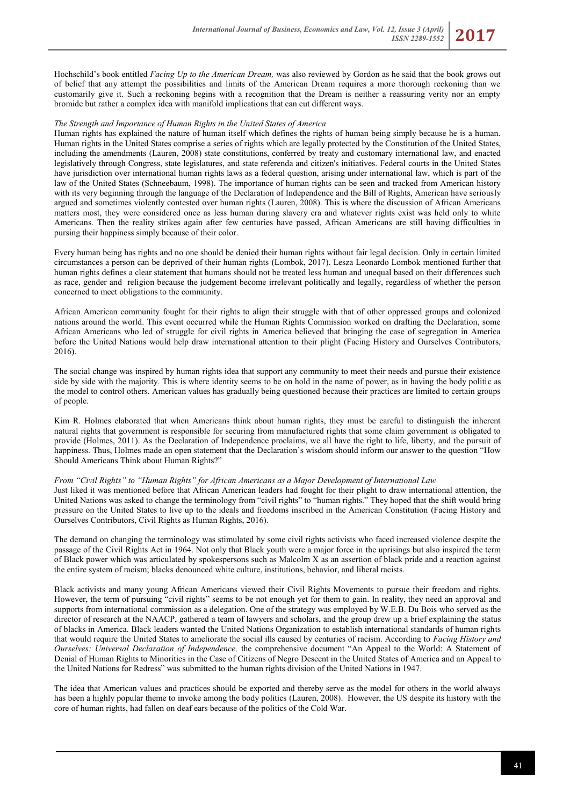Hochschild's book entitled *Facing Up to the American Dream,* was also reviewed by Gordon as he said that the book grows out of belief that any attempt the possibilities and limits of the American Dream requires a more thorough reckoning than we customarily give it. Such a reckoning begins with a recognition that the Dream is neither a reassuring verity nor an empty bromide but rather a complex idea with manifold implications that can cut different ways.

# *The Strength and Importance of Human Rights in the United States of America*

Human rights has explained the nature of human itself which defines the rights of human being simply because he is a human. Human rights in the United States comprise a series of rights which are legally protected by the Constitution of the United States, including the amendments (Lauren, 2008) state constitutions, conferred by treaty and customary international law, and enacted legislatively through Congress, state legislatures, and state referenda and citizen's initiatives. Federal courts in the United States have jurisdiction over international human rights laws as a federal question, arising under international law, which is part of the law of the United States (Schneebaum, 1998). The importance of human rights can be seen and tracked from American history with its very beginning through the language of the Declaration of Independence and the Bill of Rights, American have seriously argued and sometimes violently contested over human rights (Lauren, 2008). This is where the discussion of African Americans matters most, they were considered once as less human during slavery era and whatever rights exist was held only to white Americans. Then the reality strikes again after few centuries have passed, African Americans are still having difficulties in pursing their happiness simply because of their color.

Every human being has rights and no one should be denied their human rights without fair legal decision. Only in certain limited circumstances a person can be deprived of their human rights (Lombok, 2017). Lesza Leonardo Lombok mentioned further that human rights defines a clear statement that humans should not be treated less human and unequal based on their differences such as race, gender and religion because the judgement become irrelevant politically and legally, regardless of whether the person concerned to meet obligations to the community.

African American community fought for their rights to align their struggle with that of other oppressed groups and colonized nations around the world. This event occurred while the Human Rights Commission worked on drafting the Declaration, some African Americans who led of struggle for civil rights in America believed that bringing the case of segregation in America before the United Nations would help draw international attention to their plight (Facing History and Ourselves Contributors, 2016).

The social change was inspired by human rights idea that support any community to meet their needs and pursue their existence side by side with the majority. This is where identity seems to be on hold in the name of power, as in having the body politic as the model to control others. American values has gradually being questioned because their practices are limited to certain groups of people.

Kim R. Holmes elaborated that when Americans think about human rights, they must be careful to distinguish the inherent natural rights that government is responsible for securing from manufactured rights that some claim government is obligated to provide (Holmes, 2011). As the Declaration of Independence proclaims, we all have the right to life, liberty, and the pursuit of happiness. Thus, Holmes made an open statement that the Declaration's wisdom should inform our answer to the question "How Should Americans Think about Human Rights?"

### *From "Civil Rights" to "Human Rights" for African Americans as a Major Development of International Law*

Just liked it was mentioned before that African American leaders had fought for their plight to draw international attention, the United Nations was asked to change the terminology from "civil rights" to "human rights." They hoped that the shift would bring pressure on the United States to live up to the ideals and freedoms inscribed in the American Constitution (Facing History and Ourselves Contributors, Civil Rights as Human Rights, 2016).

The demand on changing the terminology was stimulated by some civil rights activists who faced increased violence despite the passage of the Civil Rights Act in 1964. Not only that Black youth were a major force in the uprisings but also inspired the term of Black power which was articulated by spokespersons such as Malcolm X as an assertion of black pride and a reaction against the entire system of racism; blacks denounced white culture, institutions, behavior, and liberal racists.

Black activists and many young African Americans viewed their Civil Rights Movements to pursue their freedom and rights. However, the term of pursuing "civil rights" seems to be not enough yet for them to gain. In reality, they need an approval and supports from international commission as a delegation. One of the strategy was employed by W.E.B. Du Bois who served as the director of research at the NAACP, gathered a team of lawyers and scholars, and the group drew up a brief explaining the status of blacks in America. Black leaders wanted the United Nations Organization to establish international standards of human rights that would require the United States to ameliorate the social ills caused by centuries of racism. According to *Facing History and Ourselves: Universal Declaration of Independence,* the comprehensive document "An Appeal to the World: A Statement of Denial of Human Rights to Minorities in the Case of Citizens of Negro Descent in the United States of America and an Appeal to the United Nations for Redress" was submitted to the human rights division of the United Nations in 1947.

The idea that American values and practices should be exported and thereby serve as the model for others in the world always has been a highly popular theme to invoke among the body politics (Lauren, 2008). However, the US despite its history with the core of human rights, had fallen on deaf ears because of the politics of the Cold War.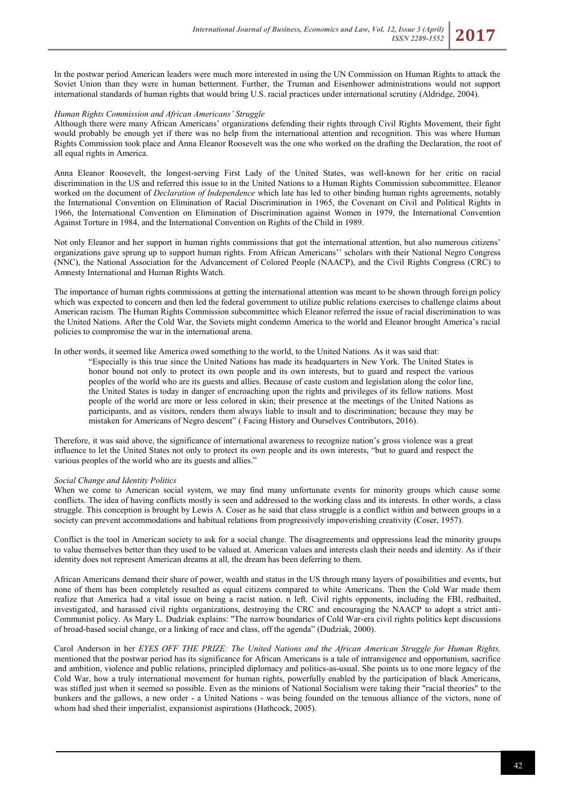In the postwar period American leaders were much more interested in using the UN Commission on Human Rights to attack the Soviet Union than they were in human betterment. Further, the Truman and Eisenhower administrations would not support international standards of human rights that would bring U.S. racial practices under international scrutiny (Aldridge, 2004).

# *Human Rights Commission and African Americans' Struggle*

Although there were many African Americans' organizations defending their rights through Civil Rights Movement, their fight would probably be enough yet if there was no help from the international attention and recognition. This was where Human Rights Commission took place and Anna Eleanor Roosevelt was the one who worked on the drafting the Declaration, the root of all equal rights in America.

Anna Eleanor Roosevelt, the longest-serving First Lady of the United States, was well-known for her critic on racial discrimination in the US and referred this issue to in the United Nations to a Human Rights Commission subcommittee. Eleanor worked on the document of *Declaration of Independence* which late has led to other binding human rights agreements, notably the International Convention on Elimination of Racial Discrimination in 1965, the Covenant on Civil and Political Rights in 1966, the International Convention on Elimination of Discrimination against Women in 1979, the International Convention Against Torture in 1984, and the International Convention on Rights of the Child in 1989.

Not only Eleanor and her support in human rights commissions that got the international attention, but also numerous citizens' organizations gave sprung up to support human rights. From African Americans'' scholars with their National Negro Congress (NNC), the National Association for the Advancement of Colored People (NAACP), and the Civil Rights Congress (CRC) to Amnesty International and Human Rights Watch.

The importance of human rights commissions at getting the international attention was meant to be shown through foreign policy which was expected to concern and then led the federal government to utilize public relations exercises to challenge claims about American racism. The Human Rights Commission subcommittee which Eleanor referred the issue of racial discrimination to was the United Nations. After the Cold War, the Soviets might condemn America to the world and Eleanor brought America's racial policies to compromise the war in the international arena.

In other words, it seemed like America owed something to the world, to the United Nations. As it was said that:

"Especially is this true since the United Nations has made its headquarters in New York. The United States is honor bound not only to protect its own people and its own interests, but to guard and respect the various peoples of the world who are its guests and allies. Because of caste custom and legislation along the color line, the United States is today in danger of encroaching upon the rights and privileges of its fellow nations. Most people of the world are more or less colored in skin; their presence at the meetings of the United Nations as participants, and as visitors, renders them always liable to insult and to discrimination; because they may be mistaken for Americans of Negro descent" ( Facing History and Ourselves Contributors, 2016).

Therefore, it was said above, the significance of international awareness to recognize nation's gross violence was a great influence to let the United States not only to protect its own people and its own interests, "but to guard and respect the various peoples of the world who are its guests and allies."

#### *Social Change and Identity Politics*

When we come to American social system, we may find many unfortunate events for minority groups which cause some conflicts. The idea of having conflicts mostly is seen and addressed to the working class and its interests. In other words, a class struggle. This conception is brought by Lewis A. Coser as he said that class struggle is a conflict within and between groups in a society can prevent accommodations and habitual relations from progressively impoverishing creativity (Coser, 1957).

Conflict is the tool in American society to ask for a social change. The disagreements and oppressions lead the minority groups to value themselves better than they used to be valued at. American values and interests clash their needs and identity. As if their identity does not represent American dreams at all, the dream has been deferring to them.

African Americans demand their share of power, wealth and status in the US through many layers of possibilities and events, but none of them has been completely resulted as equal citizens compared to white Americans. Then the Cold War made them realize that America had a vital issue on being a racist nation. n left. Civil rights opponents, including the FBI, redbaited, investigated, and harassed civil rights organizations, destroying the CRC and encouraging the NAACP to adopt a strict anti-Communist policy. As Mary L. Dudziak explains: "The narrow boundaries of Cold War-era civil rights politics kept discussions of broad-based social change, or a linking of race and class, off the agenda" (Dudziak, 2000).

Carol Anderson in her *EYES OFF THE PRIZE: The United Nations and the African American Struggle for Human Rights,*  mentioned that the postwar period has its significance for African Americans is a tale of intransigence and opportunism, sacrifice and ambition, violence and public relations, principled diplomacy and politics-as-usual. She points us to one more legacy of the Cold War, how a truly international movement for human rights, powerfully enabled by the participation of black Americans, was stifled just when it seemed so possible. Even as the minions of National Socialism were taking their "racial theories" to the bunkers and the gallows, a new order - a United Nations - was being founded on the tenuous alliance of the victors, none of whom had shed their imperialist, expansionist aspirations (Hathcock, 2005).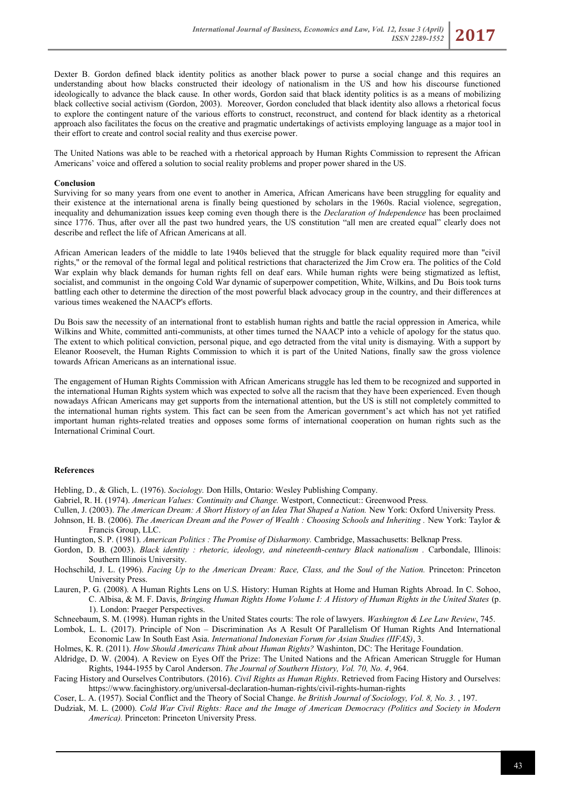Dexter B. Gordon defined black identity politics as another black power to purse a social change and this requires an understanding about how blacks constructed their ideology of nationalism in the US and how his discourse functioned ideologically to advance the black cause. In other words, Gordon said that black identity politics is as a means of mobilizing black collective social activism (Gordon, 2003). Moreover, Gordon concluded that black identity also allows a rhetorical focus to explore the contingent nature of the various efforts to construct, reconstruct, and contend for black identity as a rhetorical approach also facilitates the focus on the creative and pragmatic undertakings of activists employing language as a major tool in their effort to create and control social reality and thus exercise power.

The United Nations was able to be reached with a rhetorical approach by Human Rights Commission to represent the African Americans' voice and offered a solution to social reality problems and proper power shared in the US.

### **Conclusion**

Surviving for so many years from one event to another in America, African Americans have been struggling for equality and their existence at the international arena is finally being questioned by scholars in the 1960s. Racial violence, segregation, inequality and dehumanization issues keep coming even though there is the *Declaration of Independence* has been proclaimed since 1776. Thus, after over all the past two hundred years, the US constitution "all men are created equal" clearly does not describe and reflect the life of African Americans at all.

African American leaders of the middle to late 1940s believed that the struggle for black equality required more than "civil rights," or the removal of the formal legal and political restrictions that characterized the Jim Crow era. The politics of the Cold War explain why black demands for human rights fell on deaf ears. While human rights were being stigmatized as leftist, socialist, and communist in the ongoing Cold War dynamic of superpower competition, White, Wilkins, and Du Bois took turns battling each other to determine the direction of the most powerful black advocacy group in the country, and their differences at various times weakened the NAACP's efforts.

Du Bois saw the necessity of an international front to establish human rights and battle the racial oppression in America, while Wilkins and White, committed anti-communists, at other times turned the NAACP into a vehicle of apology for the status quo. The extent to which political conviction, personal pique, and ego detracted from the vital unity is dismaying. With a support by Eleanor Roosevelt, the Human Rights Commission to which it is part of the United Nations, finally saw the gross violence towards African Americans as an international issue.

The engagement of Human Rights Commission with African Americans struggle has led them to be recognized and supported in the international Human Rights system which was expected to solve all the racism that they have been experienced. Even though nowadays African Americans may get supports from the international attention, but the US is still not completely committed to the international human rights system. This fact can be seen from the American government's act which has not yet ratified important human rights-related treaties and opposes some forms of international cooperation on human rights such as the International Criminal Court.

# **References**

Hebling, D., & Glich, L. (1976). *Sociology.* Don Hills, Ontario: Wesley Publishing Company.

- Gabriel, R. H. (1974). *American Values: Continuity and Change.* Westport, Connecticut:: Greenwood Press.
- Cullen, J. (2003). *The American Dream: A Short History of an Idea That Shaped a Nation.* New York: Oxford University Press.
- Johnson, H. B. (2006). *The American Dream and the Power of Wealth : Choosing Schools and Inheriting .* New York: Taylor & Francis Group, LLC.
- Huntington, S. P. (1981). *American Politics : The Promise of Disharmony.* Cambridge, Massachusetts: Belknap Press.
- Gordon, D. B. (2003). *Black identity : rhetoric, ideology, and nineteenth-century Black nationalism .* Carbondale, Illinois: Southern Illinois University.
- Hochschild, J. L. (1996). *Facing Up to the American Dream: Race, Class, and the Soul of the Nation.* Princeton: Princeton University Press.
- Lauren, P. G. (2008). A Human Rights Lens on U.S. History: Human Rights at Home and Human Rights Abroad. In C. Sohoo, C. Albisa, & M. F. Davis, *Bringing Human Rights Home Volume I: A History of Human Rights in the United States* (p. 1). London: Praeger Perspectives.

Schneebaum, S. M. (1998). Human rights in the United States courts: The role of lawyers. *Washington & Lee Law Review*, 745.

Lombok, L. L. (2017). Principle of Non – Discrimination As A Result Of Parallelism Of Human Rights And International Economic Law In South East Asia. *International Indonesian Forum for Asian Studies (IIFAS)*, 3.

Holmes, K. R. (2011). *How Should Americans Think about Human Rights?* Washinton, DC: The Heritage Foundation.

- Aldridge, D. W. (2004). A Review on Eyes Off the Prize: The United Nations and the African American Struggle for Human Rights, 1944-1955 by Carol Anderson. *The Journal of Southern History, Vol. 70, No. 4*, 964.
- Facing History and Ourselves Contributors. (2016). *Civil Rights as Human Rights*. Retrieved from Facing History and Ourselves: https://www.facinghistory.org/universal-declaration-human-rights/civil-rights-human-rights

Coser, L. A. (1957). Social Conflict and the Theory of Social Change. *he British Journal of Sociology, Vol. 8, No. 3.* , 197.

Dudziak, M. L. (2000). *Cold War Civil Rights: Race and the Image of American Democracy (Politics and Society in Modern America).* Princeton: Princeton University Press.